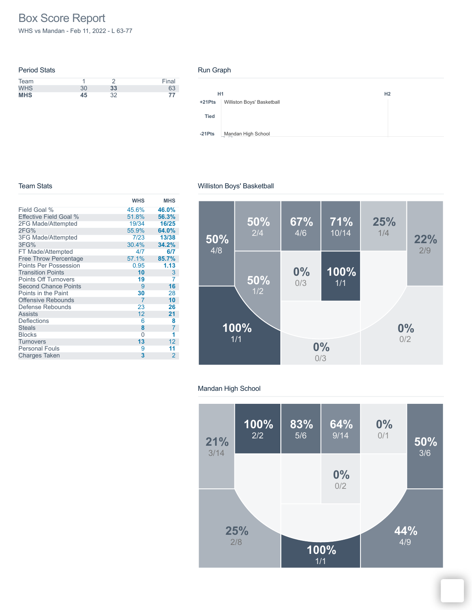# Box Score Report

WHS vs Mandan - Feb 11, 2022 - L 63-77

| <b>Period Stats</b> |    |    |       |
|---------------------|----|----|-------|
| Team                |    |    | Final |
| <b>WHS</b>          | 30 | 33 | 63    |
| <b>MHS</b>          | 45 | つつ | 77    |

#### Run Graph



#### Team Stats

## Williston Boys' Basketball

|                              | <b>WHS</b> | <b>MHS</b>     |
|------------------------------|------------|----------------|
| Field Goal %                 | 45.6%      | 46.0%          |
| Effective Field Goal %       | 51.8%      | 56.3%          |
| 2FG Made/Attempted           | 19/34      | 16/25          |
| 2FG%                         | 55.9%      | 64.0%          |
| <b>3FG Made/Attempted</b>    | 7/23       | 13/38          |
| 3FG%                         | 30.4%      | 34.2%          |
| FT Made/Attempted            | 4/7        | 6/7            |
| <b>Free Throw Percentage</b> | 57.1%      | 85.7%          |
| <b>Points Per Possession</b> | 0.95       | 1.13           |
| <b>Transition Points</b>     | 10         | 3              |
| <b>Points Off Turnovers</b>  | 19         | 7              |
| <b>Second Chance Points</b>  | 9          | 16             |
| Points in the Paint          | 30         | 28             |
| <b>Offensive Rebounds</b>    | 7          | 10             |
| Defense Rebounds             | 23         | 26             |
| <b>Assists</b>               | 12         | 21             |
| Deflections                  | 6          | 8              |
| <b>Steals</b>                | 8          | 7              |
| <b>Blocks</b>                | 0          | 1              |
| <b>Turnovers</b>             | 13         | 12             |
| <b>Personal Fouls</b>        | 9          | 11             |
| <b>Charges Taken</b>         | 3          | $\overline{2}$ |



## Mandan High School